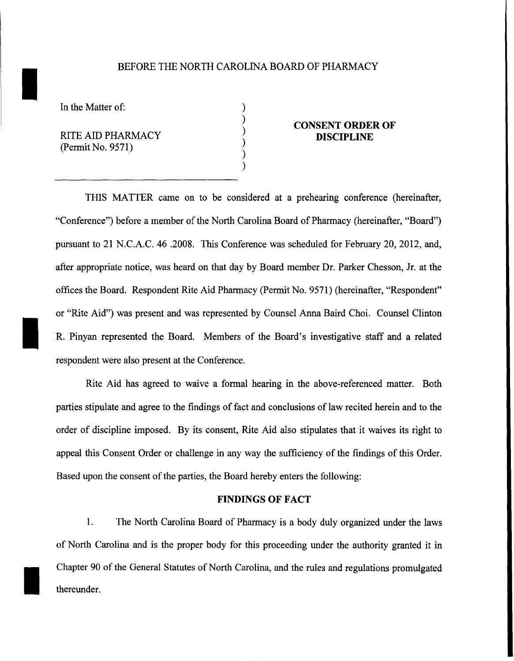### BEFORE THE NORTH CAROLINA BOARD OF PHARMACY

) ) ) ) ) )

In the Matter of:

I

I

I

RITE AID PHARMACY (Permit No. 9571)

## **CONSENT ORDER OF DISCIPLINE**

THIS MATTER came on to be considered at a prehearing conference (hereinafter, "Conference") before a member of the North Carolina Board of Pharmacy (hereinafter, "Board") pursuant to 21 N.C.A.C. 46 .2008. This Conference was scheduled for February 20, 2012, and, after appropriate notice, was heard on that day by Board member Dr. Parker Chesson, Jr. at the offices the Board. Respondent Rite Aid Pharmacy (Permit No. 9571) (hereinafter, "Respondent" or "Rite Aid") was present and was represented by Counsel Anna Baird Choi. Counsel Clinton R. Pinyan represented the Board. Members of the Board's investigative staff and a related respondent were also present at the Conference.

Rite Aid has agreed to waive a formal hearing in the above-referenced matter. Both parties stipulate and agree to the findings of fact and conclusions of law recited herein and to the order of discipline imposed. By its consent, Rite Aid also stipulates that it waives its right to appeal this Consent Order or challenge in any way the sufficiency of the findings of this Order. Based upon the consent of the parties, the Board hereby enters the following:

#### **FINDINGS OF FACT**

1. The North Carolina Board of Pharmacy is a body duly organized under the laws of North Carolina and is the proper body for this proceeding under the authority granted it in Chapter 90 of the General Statutes of North Carolina, and the rules and regulations promulgated thereunder.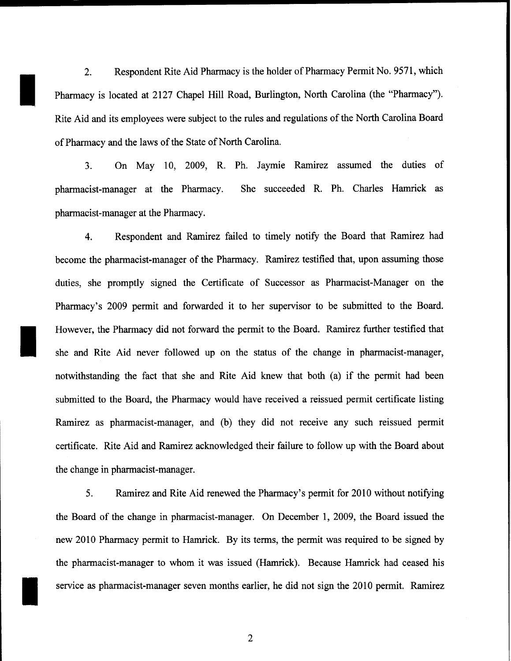2. Respondent Rite Aid Pharmacy is the holder of Pharmacy Permit No. 9571, which Pharmacy is located at 2127 Chapel Hill Road, Burlington, North Carolina (the "Pharmacy"). Rite Aid and its employees were subject to the rules and regulations of the North Carolina Board of Pharmacy and the laws of the State of North Carolina.

I

I

3. On May 10, 2009, R. Ph. Jaymie Ramirez assumed the duties of pharmacist-manager at the Pharmacy. She succeeded R. Ph. Charles Hamrick as pharmacist-manager at the Pharmacy.

4. Respondent and Ramirez failed to timely notify the Board that Ramirez had become the pharmacist-manager of the Pharmacy. Ramirez testified that, upon assuming those duties, she promptly signed the Certificate of Successor as Pharmacist-Manager on the Pharmacy's 2009 permit and forwarded it to her supervisor to be submitted to the Board. However, the Pharmacy did not forward the permit to the Board. Ramirez further testified that she and Rite Aid never followed up on the status of the change in pharmacist-manager, notwithstanding the fact that she and Rite Aid knew that both (a) if the permit had been submitted to the Board, the Pharmacy would have received a reissued permit certificate listing Ramirez as pharmacist-manager, and (b) they did not receive any such reissued permit certificate. Rite Aid and Ramirez acknowledged their failure to follow up with the Board about the change in pharmacist-manager.

5. Ramirez and Rite Aid renewed the Pharmacy's permit for 2010 without notifying the Board of the change in pharmacist-manager. On December 1, 2009, the Board issued the new 2010 Pharmacy permit to Hamrick. By its terms, the permit was required to be signed by the pharmacist-manager to whom it was issued (Hamrick). Because Hamrick had ceased his service as pharmacist-manager seven months earlier, he did not sign the 2010 permit. Ramirez

2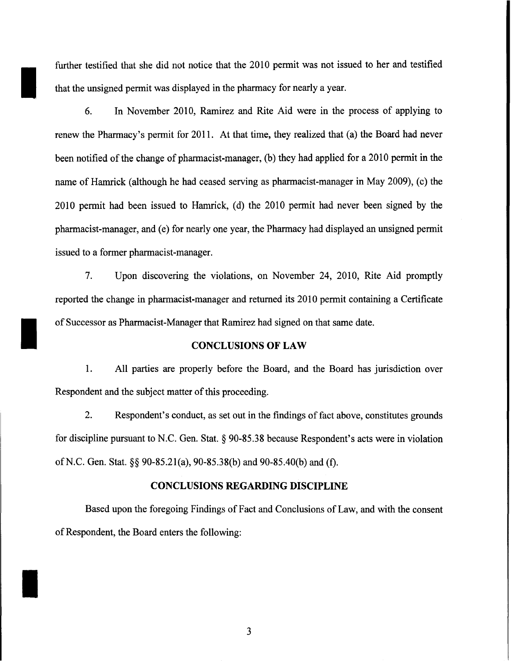further testified that she did not notice that the 2010 permit was not issued to her and testified that the unsigned permit was displayed in the pharmacy for nearly a year.

I

I

I

6. In November 2010, Ramirez and Rite Aid were in the process of applying to renew the Pharmacy's permit for 2011. At that time, they realized that (a) the Board had never been notified of the change of pharmacist-manager, (b) they had applied for a 2010 permit in the name of Hamrick (although he had ceased serving as pharmacist-manager in May 2009), (c) the 2010 permit had been issued to Hamrick, (d) the 2010 permit had never been signed by the pharmacist-manager, and (e) for nearly one year, the Pharmacy had displayed an unsigned permit issued to a former pharmacist-manager.

7. Upon discovering the violations, on November 24, 2010, Rite Aid promptly reported the change in pharmacist-manager and returned its 2010 permit containing a Certificate of Successor as Pharmacist-Manager that Ramirez had signed on that same date.

### CONCLUSIONS OF LAW

1. All parties are properly before the Board, and the Board has jurisdiction over Respondent and the subject matter of this proceeding.

2. Respondent's conduct, as set out in the findings of fact above, constitutes grounds for discipline pursuant to N.C. Gen. Stat. § 90-85.38 because Respondent's acts were in violation ofN.C. Gen. Stat.§§ 90-85.21(a), 90-85.38(b) and 90-85.40(b) and (f).

# CONCLUSIONS REGARDING DISCIPLINE

Based upon the foregoing Findings of Fact and Conclusions of Law, and with the consent of Respondent, the Board enters the following:

3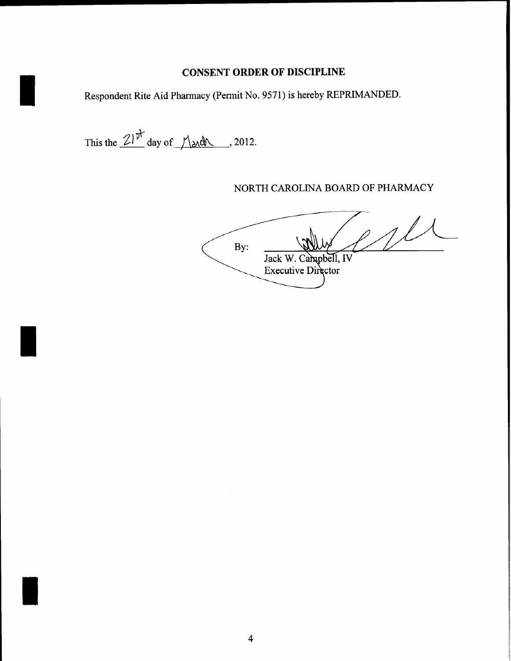# **CONSENT ORDER OF DISCIPLINE**

Respondent Rite Aid Pharmacy (Permit No. 9571) is hereby REPRIMANDED.

This the  $\frac{21}{\nu}$  day of  $\frac{1}{\lambda}$  and 2012.

I

I

I

NORTH CAROLINA BOARD OF PHARMACY

 $1/1$ By: Jack W. Campbell, IV **Executive Director**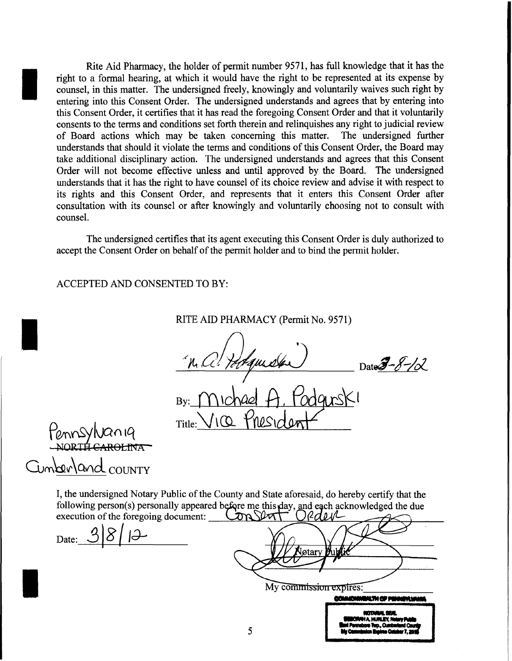Rite Aid Pharmacy, the holder of permit nwnber 9571, has full knowledge that it has the right to a formal hearing, at which it would have the right to be represented at its expense by counsel, in this matter. The undersigned freely, knowingly and voluntarily waives such right by entering into this Consent Order. The undersigned understands and agrees that by entering into this Consent Order, it certifies that it has read the foregoing Consent Order and that it voluntarily consents to the terms and conditions set forth therein and relinquishes any right to judicial review of Board actions which may be taken concerning this matter. The undersigned further understands that should it violate the terms and conditions of this Consent Order, the Board may take additional disciplinary action. The undersigned understands and agrees that this Consent Order will not become effective unless and until approved by the Board. The undersigned understands that it has the right to have counsel of its choice review and advise it with respect to its rights and this Consent Order, and represents that it enters this Consent Order after consultation with its counsel or after knowingly and voluntarily choosing not to consult with counsel.

The undersigned certifies that its agent executing this Consent Order is duly authorized to accept the Consent Order on behalf of the permit holder and to bind the permit holder.

ACCEPTED AND CONSENTED TO BY:

RITE AID PHARMACY (Permit No. 9571)

quider  $DateJ - 8 - 102$ 

JIO PIRSI Title:

fennsylvaniq<br>-NORTH CAROLINA Imberland countr

I

I

I

I, the undersigned Notary Public of the County and State aforesaid, do hereby certify that the following person(s) personally appeared before me this day, and each acknowledged the due execution of the foregoing document:  $\sqrt{N}$   $\sqrt{N}$   $\sqrt{2}$   $\sqrt{2}$ 

Date:  $3|8|1$ 

otar

EXPITES:<br>**Connomment of Finney Name**